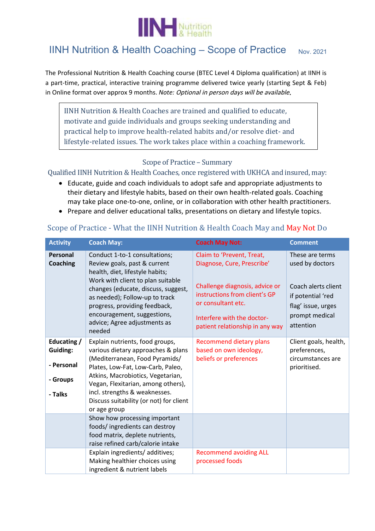

## IINH Nutrition & Health Coaching – Scope of Practice  $_{Nov. 2021}$

The Professional Nutrition & Health Coaching course (BTEC Level 4 Diploma qualification) at IINH is a part-time, practical, interactive training programme delivered twice yearly (starting Sept & Feb) in Online format over approx 9 months. *Note:* Optional in person days will be available.

IINH Nutrition & Health Coaches are trained and qualified to educate, motivate and guide individuals and groups seeking understanding and practical help to improve health-related habits and/or resolve diet- and lifestyle-related issues. The work takes place within a coaching framework.

## Scope of Practice – Summary

## Qualified IINH Nutrition & Health Coaches, once registered with UKHCA and insured, may:

- Educate, guide and coach individuals to adopt safe and appropriate adjustments to their dietary and lifestyle habits, based on their own health-related goals. Coaching may take place one-to-one, online, or in collaboration with other health practitioners.
- Prepare and deliver educational talks, presentations on dietary and lifestyle topics.

| <b>Activity</b>                                              | <b>Coach May:</b>                                                                                                                                                                                                                                                                                                        | <b>Coach May Not:</b>                                                                                                                                                                                             | <b>Comment</b>                                                                                                                      |
|--------------------------------------------------------------|--------------------------------------------------------------------------------------------------------------------------------------------------------------------------------------------------------------------------------------------------------------------------------------------------------------------------|-------------------------------------------------------------------------------------------------------------------------------------------------------------------------------------------------------------------|-------------------------------------------------------------------------------------------------------------------------------------|
| Personal<br><b>Coaching</b>                                  | Conduct 1-to-1 consultations;<br>Review goals, past & current<br>health, diet, lifestyle habits;<br>Work with client to plan suitable<br>changes (educate, discuss, suggest,<br>as needed); Follow-up to track<br>progress, providing feedback,<br>encouragement, suggestions,<br>advice; Agree adjustments as<br>needed | Claim to 'Prevent, Treat,<br>Diagnose, Cure, Prescribe'<br>Challenge diagnosis, advice or<br>instructions from client's GP<br>or consultant etc.<br>Interfere with the doctor-<br>patient relationship in any way | These are terms<br>used by doctors<br>Coach alerts client<br>if potential 'red<br>flag' issue, urges<br>prompt medical<br>attention |
| Educating /<br>Guiding:<br>- Personal<br>- Groups<br>- Talks | Explain nutrients, food groups,<br>various dietary approaches & plans<br>(Mediterranean, Food Pyramids/<br>Plates, Low-Fat, Low-Carb, Paleo,<br>Atkins, Macrobiotics, Vegetarian,<br>Vegan, Flexitarian, among others),<br>incl. strengths & weaknesses.<br>Discuss suitability (or not) for client<br>or age group      | <b>Recommend dietary plans</b><br>based on own ideology,<br>beliefs or preferences                                                                                                                                | Client goals, health,<br>preferences,<br>circumstances are<br>prioritised.                                                          |
|                                                              | Show how processing important<br>foods/ingredients can destroy<br>food matrix, deplete nutrients,<br>raise refined carb/calorie intake                                                                                                                                                                                   |                                                                                                                                                                                                                   |                                                                                                                                     |
|                                                              | Explain ingredients/ additives;<br>Making healthier choices using<br>ingredient & nutrient labels                                                                                                                                                                                                                        | <b>Recommend avoiding ALL</b><br>processed foods                                                                                                                                                                  |                                                                                                                                     |

## Scope of Practice - What the IINH Nutrition & Health Coach May and May Not Do